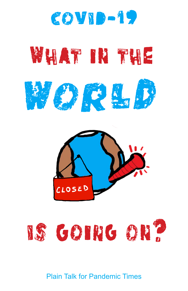

# WHAT IN THE







## Plain Talk for Pandemic Times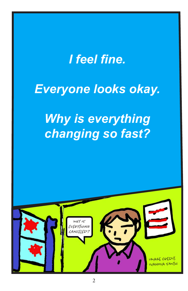# *I feel fine.*

# *Everyone looks okay.*

# *Why is everything changing so fast?*

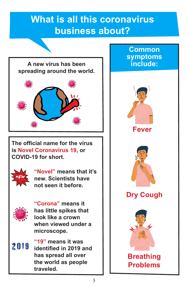#### **What is all this coronavirus business about?**



**The official name for the virus is Novel Coronavirus 19, or COVID-19 for short.** 



**"Novel" means that it's new. Scientists have not seen it before.** 



**"Corona" means it has little spikes that look like a crown when viewed under a microscope.** 

**"19" means it was identified in 2019 and has spread all over the world as people traveled.** 2019

#### **Common symptoms include:**





#### **Dry Cough**



## **Problems**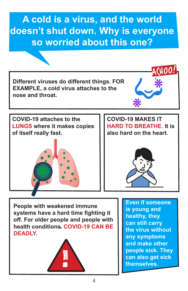#### **A cold is a virus, and the world doesn't shut down. Why is everyone so worried about this one?**

**Different viruses do different things. FOR EXAMPLE, a cold virus attaches to the nose and throat.** 

**COVID-19 MAKES IT** 

HOO!

**of itself really fast.**

**COVID-19 attaches to the** 

**LUNGS where it makes copies** 

**HARD TO BREATHE. It is also hard on the heart.**



**People with weakened immune systems have a hard time fighting it off. For older people and people with health conditions**, **COVID-19 CAN BE DEADLY.** 



**Even if someone is young and healthy, they can still carry the virus without any symptoms and make other people sick. They can also get sick** ! **themselves.**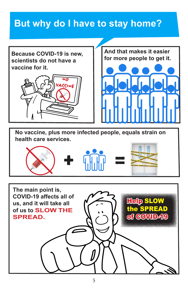#### **But why do I have to stay home?**

**Because COVID-19 is new, scientists do not have a vaccine for it.** 





**No vaccine, plus more infected people, equals strain on health care services.** 



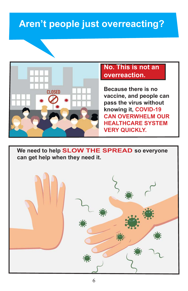#### **Aren't people just overreacting?**



#### **No. This is not an overreaction.**

**Because there is no vaccine, and people can pass the virus without knowing it, COVID-19 CAN OVERWHELM OUR HEALTHCARE SYSTEM VERY QUICKLY.**

**We need to help SLOW THE SPREAD so everyone can get help when they need it.**

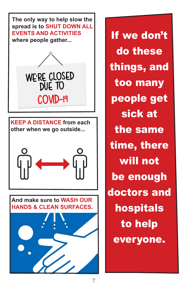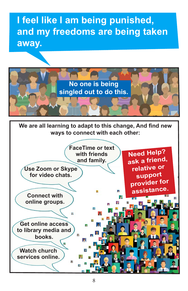## **I feel like I am being punished, and my freedoms are being taken away.**



**We are all learning to adapt to this change, And find new ways to connect with each other:**

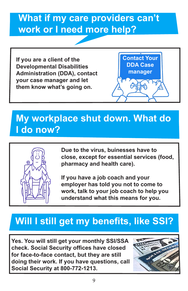#### **What if my care providers can't work or I need more help?**

**If you are a client of the Developmental Disabilities Administration (DDA), contact your case manager and let them know what's going on.**



#### **My workplace shut down. What do I do now?**



**Due to the virus, buinesses have to close, except for essential services (food, pharmacy and health care).** 

**If you have a job coach and your employer has told you not to come to work, talk to your job coach to help you understand what this means for you.**

#### **Will I still get my benefits, like SSI?**

**Yes. You will still get your monthly SSI/SSA check. Social Security offices have closed for face-to-face contact, but they are still doing their work. If you have questions, call Social Security at 800-772-1213.**

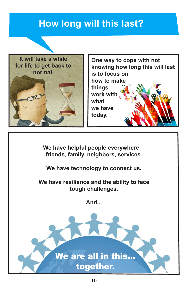#### **How long will this last?**





**We have helpful people everywhere friends, family, neighbors, services.**

**We have technology to connect us.**

**We have resilience and the ability to face tough challenges.**

**And...**

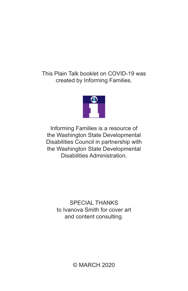This Plain Talk booklet on COVID-19 was created by Informing Families.



Informing Families is a resource of the Washington State Developmental Disabilities Council in partnership with the Washington State Developmental Disabilities Administration.

> SPECIAL THANKS to Ivanova Smith for cover art and content consulting.

> > © MARCH 2020